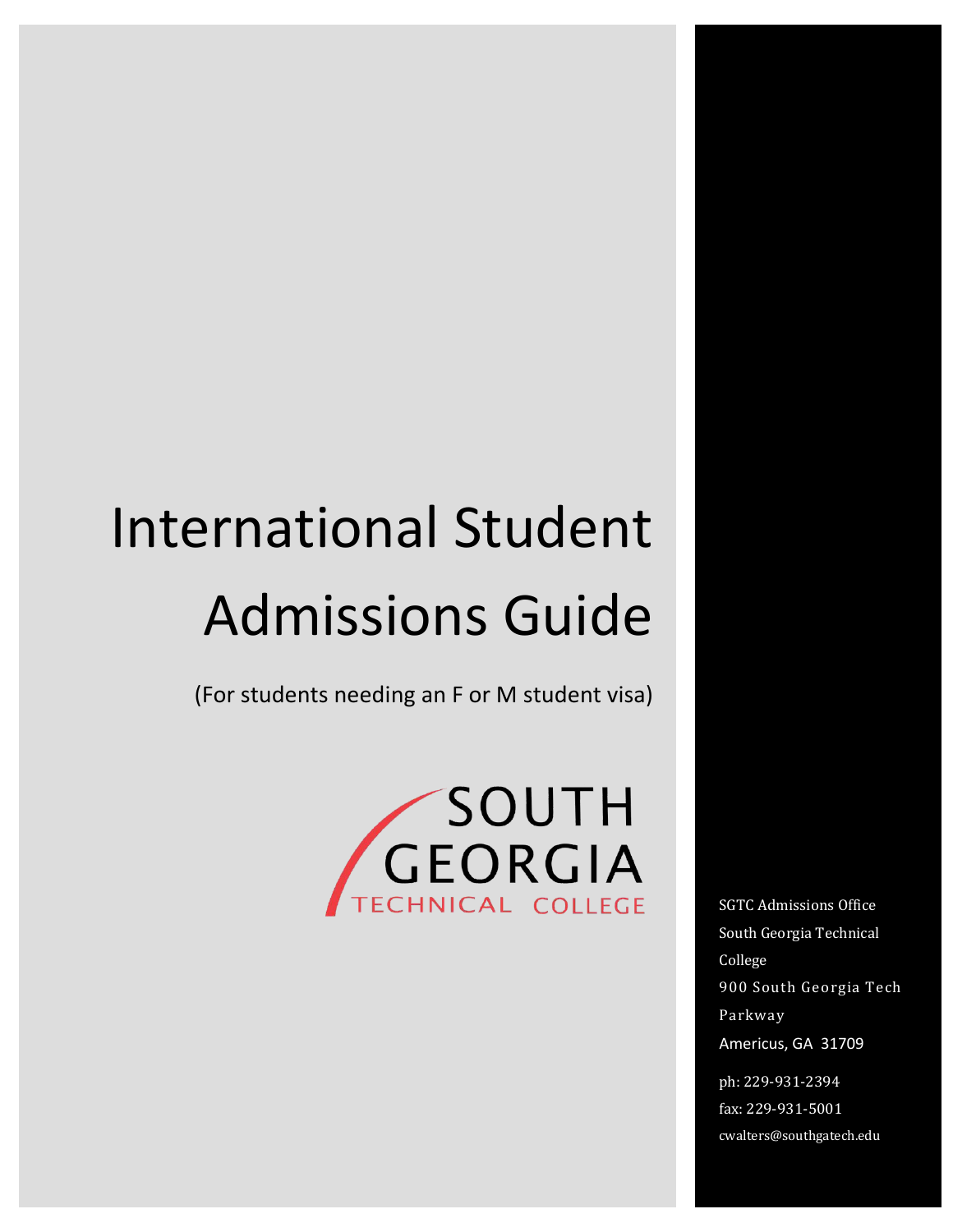# Admissions Guide International Student

(For students needing an F or M student visa)



SGTC Admissions Office South Georgia Technical College 900 South Georgia Tech Parkway Americus, GA 31709

ph: 229-931-2394 fax: 229-931-5001 cwalters@southgatech.edu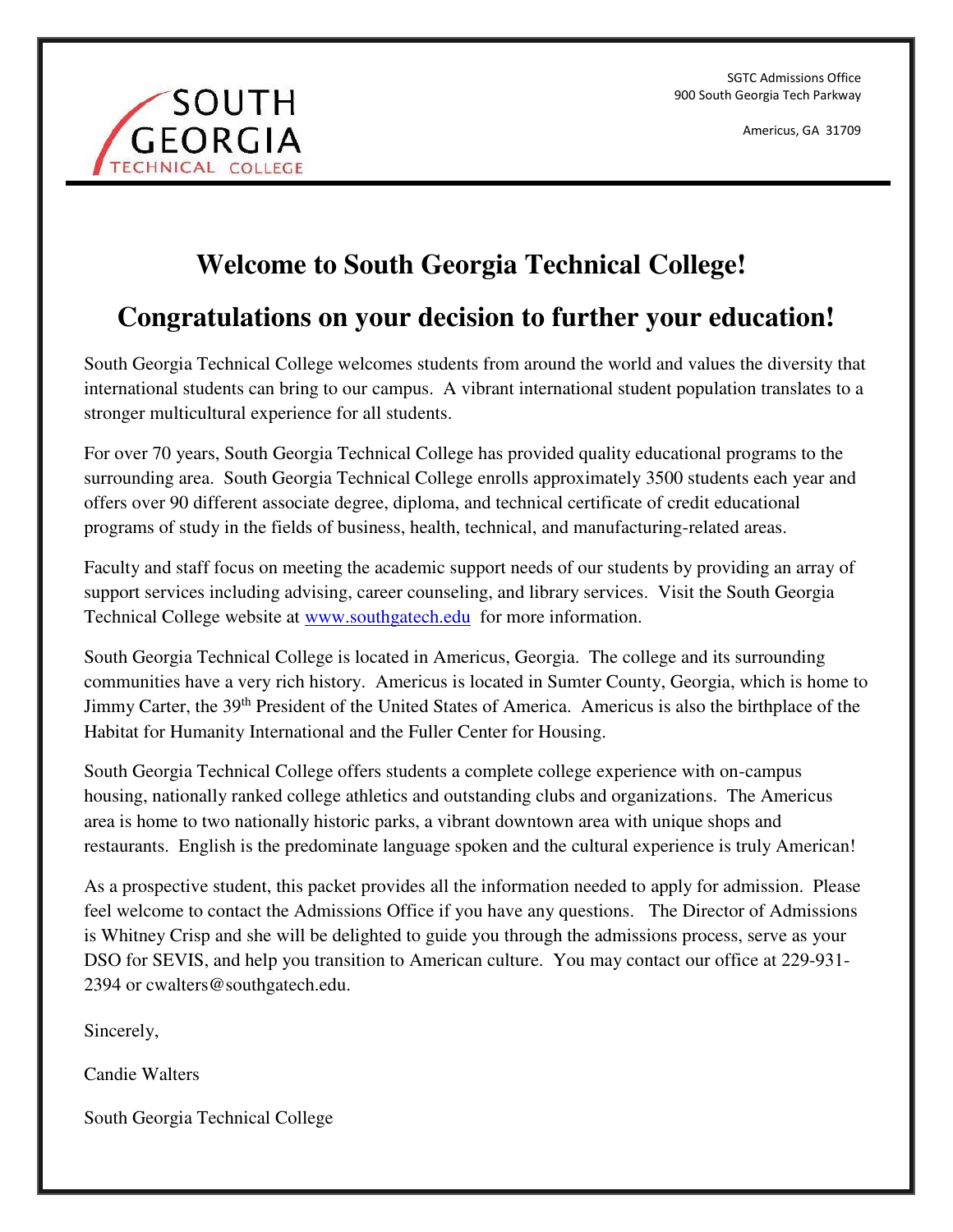SGTC Admissions Office 900 South Georgia Tech Parkway

Americus, GA 31709



## **Welcome to South Georgia Technical College!**

## **Congratulations on your decision to further your education!**

South Georgia Technical College welcomes students from around the world and values the diversity that international students can bring to our campus. A vibrant international student population translates to a stronger multicultural experience for all students.

For over 70 years, South Georgia Technical College has provided quality educational programs to the surrounding area. South Georgia Technical College enrolls approximately 3500 students each year and offers over 90 different associate degree, diploma, and technical certificate of credit educational programs of study in the fields of business, health, technical, and manufacturing-related areas.

Faculty and staff focus on meeting the academic support needs of our students by providing an array of support services including advising, career counseling, and library services. Visit the South Georgia Technical College website at [www.southgatech.edu](http://www.southgatech.edu/) for more information.

South Georgia Technical College is located in Americus, Georgia. The college and its surrounding communities have a very rich history. Americus is located in Sumter County, Georgia, which is home to Jimmy Carter, the 39th President of the United States of America. Americus is also the birthplace of the Habitat for Humanity International and the Fuller Center for Housing.

South Georgia Technical College offers students a complete college experience with on-campus housing, nationally ranked college athletics and outstanding clubs and organizations. The Americus area is home to two nationally historic parks, a vibrant downtown area with unique shops and restaurants. English is the predominate language spoken and the cultural experience is truly American!

As a prospective student, this packet provides all the information needed to apply for admission. Please feel welcome to contact the Admissions Office if you have any questions. The Director of Admissions is Whitney Crisp and she will be delighted to guide you through the admissions process, serve as your DSO for SEVIS, and help you transition to American culture. You may contact our office at 229-931- 2394 or cwalters@southgatech.edu.

Sincerely,

Candie Walters

South Georgia Technical College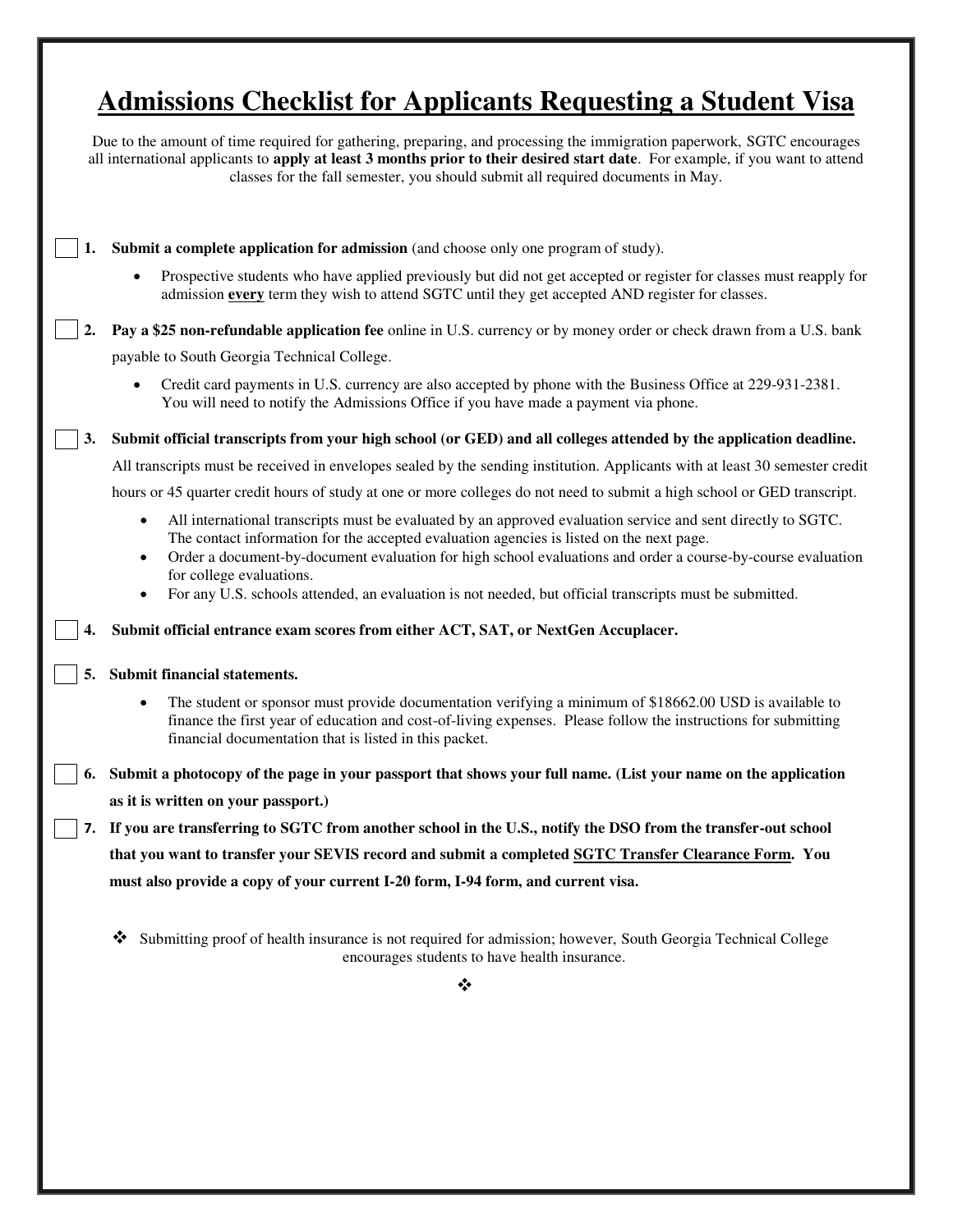## **Admissions Checklist for Applicants Requesting a Student Visa**

|    | Due to the amount of time required for gathering, preparing, and processing the immigration paperwork, SGTC encourages<br>all international applicants to apply at least 3 months prior to their desired start date. For example, if you want to attend<br>classes for the fall semester, you should submit all required documents in May.        |  |  |
|----|---------------------------------------------------------------------------------------------------------------------------------------------------------------------------------------------------------------------------------------------------------------------------------------------------------------------------------------------------|--|--|
|    | <b>Submit a complete application for admission</b> (and choose only one program of study).                                                                                                                                                                                                                                                        |  |  |
|    | Prospective students who have applied previously but did not get accepted or register for classes must reapply for<br>admission every term they wish to attend SGTC until they get accepted AND register for classes.                                                                                                                             |  |  |
| 2. | Pay a \$25 non-refundable application fee online in U.S. currency or by money order or check drawn from a U.S. bank                                                                                                                                                                                                                               |  |  |
|    | payable to South Georgia Technical College.                                                                                                                                                                                                                                                                                                       |  |  |
|    | Credit card payments in U.S. currency are also accepted by phone with the Business Office at 229-931-2381.<br>You will need to notify the Admissions Office if you have made a payment via phone.                                                                                                                                                 |  |  |
| 3. | Submit official transcripts from your high school (or GED) and all colleges attended by the application deadline.                                                                                                                                                                                                                                 |  |  |
|    | All transcripts must be received in envelopes sealed by the sending institution. Applicants with at least 30 semester credit                                                                                                                                                                                                                      |  |  |
|    | hours or 45 quarter credit hours of study at one or more colleges do not need to submit a high school or GED transcript.                                                                                                                                                                                                                          |  |  |
|    | All international transcripts must be evaluated by an approved evaluation service and sent directly to SGTC.<br>$\bullet$<br>The contact information for the accepted evaluation agencies is listed on the next page.<br>Order a document-by-document evaluation for high school evaluations and order a course-by-course evaluation<br>$\bullet$ |  |  |
|    | for college evaluations.<br>For any U.S. schools attended, an evaluation is not needed, but official transcripts must be submitted.<br>$\bullet$                                                                                                                                                                                                  |  |  |
|    | Submit official entrance exam scores from either ACT, SAT, or NextGen Accuplacer.                                                                                                                                                                                                                                                                 |  |  |
|    | Submit financial statements.                                                                                                                                                                                                                                                                                                                      |  |  |
|    | The student or sponsor must provide documentation verifying a minimum of \$18662.00 USD is available to<br>$\bullet$<br>finance the first year of education and cost-of-living expenses. Please follow the instructions for submitting<br>financial documentation that is listed in this packet.                                                  |  |  |
| 6. | Submit a photocopy of the page in your passport that shows your full name. (List your name on the application                                                                                                                                                                                                                                     |  |  |
|    | as it is written on your passport.)                                                                                                                                                                                                                                                                                                               |  |  |
|    | 7. If you are transferring to SGTC from another school in the U.S., notify the DSO from the transfer-out school                                                                                                                                                                                                                                   |  |  |
|    | that you want to transfer your SEVIS record and submit a completed SGTC Transfer Clearance Form. You                                                                                                                                                                                                                                              |  |  |
|    | must also provide a copy of your current I-20 form, I-94 form, and current visa.                                                                                                                                                                                                                                                                  |  |  |
|    | Submitting proof of health insurance is not required for admission; however, South Georgia Technical College<br>❖<br>encourages students to have health insurance.                                                                                                                                                                                |  |  |
|    | ❖                                                                                                                                                                                                                                                                                                                                                 |  |  |
|    |                                                                                                                                                                                                                                                                                                                                                   |  |  |
|    |                                                                                                                                                                                                                                                                                                                                                   |  |  |
|    |                                                                                                                                                                                                                                                                                                                                                   |  |  |
|    |                                                                                                                                                                                                                                                                                                                                                   |  |  |
|    |                                                                                                                                                                                                                                                                                                                                                   |  |  |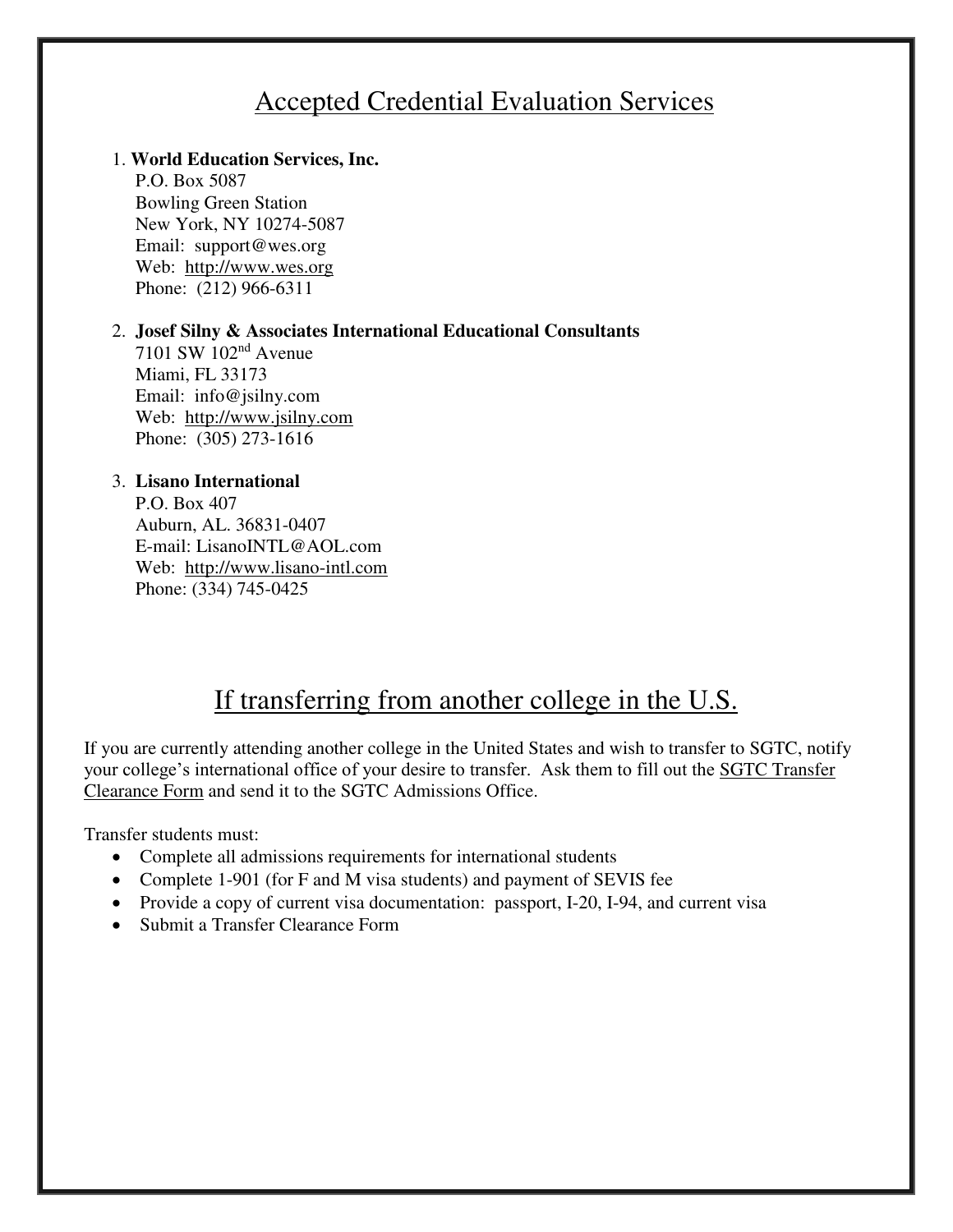#### Accepted Credential Evaluation Services

#### 1. **World Education Services, Inc.**

 P.O. Box 5087 Bowling Green Station New York, NY 10274-5087 Email: support@wes.org Web: [http://www.wes.org](http://www.wes.org/)  Phone: (212) 966-6311

#### 2. **Josef Silny & Associates International Educational Consultants**

 7101 SW 102nd Avenue Miami, FL 33173 Email: [info@jsilny.com](mailto:info@jsilny.com)  Web: [http://www.jsilny.com](http://www.jsilny.com/)  Phone: (305) 273-1616

#### 3. **Lisano International**

 P.O. Box 407 Auburn, AL. 36831-0407 E-mail: [LisanoINTL@AOL.com](mailto:LisanoINTL@AOL.com)  Web: [http://www.lisano-intl.com](http://www.lisano-intl.com/)  Phone: (334) 745-0425

#### If transferring from another college in the U.S.

If you are currently attending another college in the United States and wish to transfer to SGTC, notify your college's international office of your desire to transfer. Ask them to fill out the [SGTC Transfer](http://www.athenstech.edu/StudentDevelopmentServices/InternationalStudentServices/Forms/Transfer_Clearance_Form.pdf)  [Clearance Form](http://www.athenstech.edu/StudentDevelopmentServices/InternationalStudentServices/Forms/Transfer_Clearance_Form.pdf) and send it to the SGTC Admissions Office.

Transfer students must:

- Complete all admissions requirements for international students
- Complete 1-901 (for F and M visa students) and payment of SEVIS fee
- Provide a copy of current visa documentation: passport, I-20, I-94, and current visa
- Submit a Transfer Clearance Form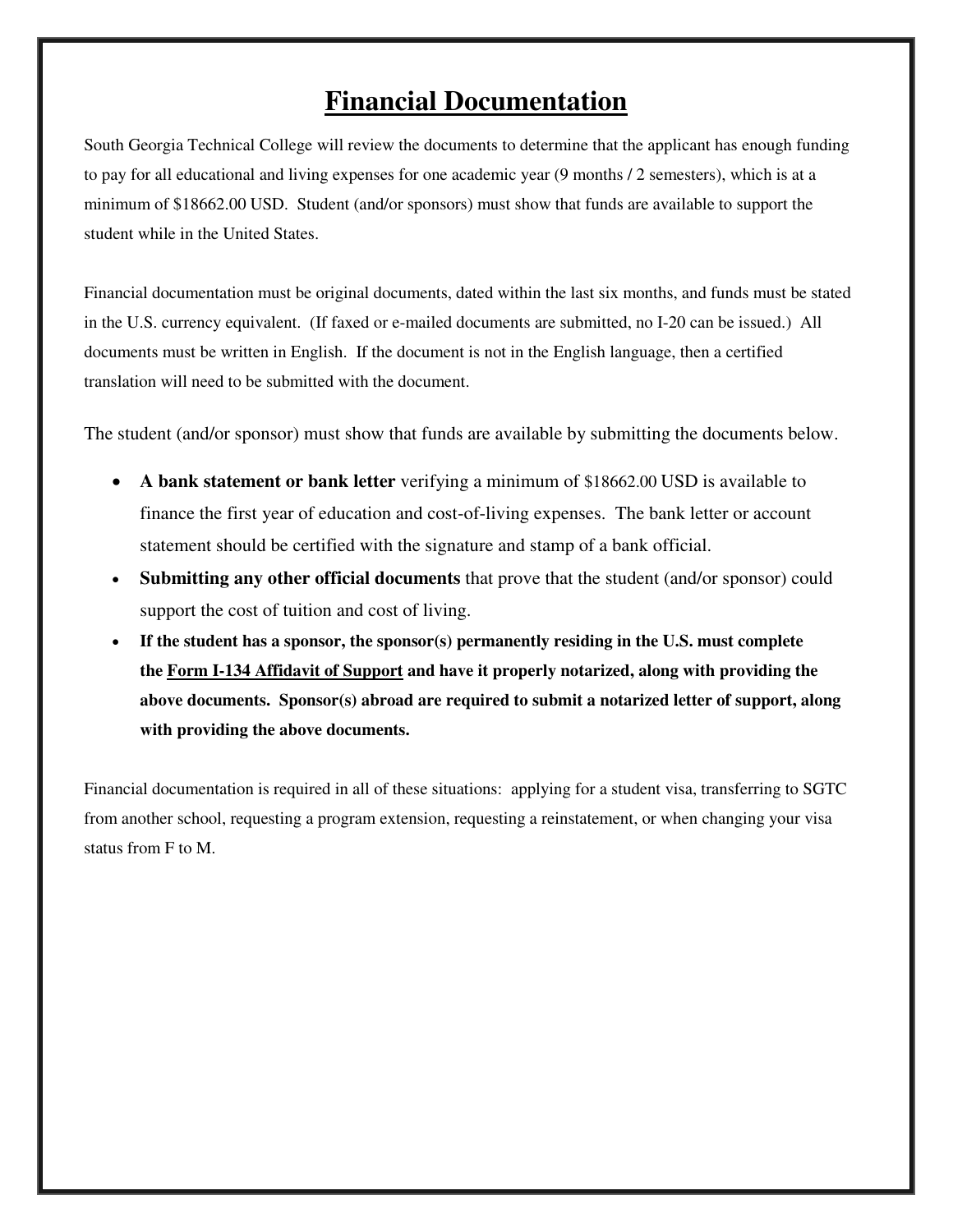#### **Financial Documentation**

South Georgia Technical College will review the documents to determine that the applicant has enough funding to pay for all educational and living expenses for one academic year (9 months / 2 semesters), which is at a minimum of \$18662.00 USD. Student (and/or sponsors) must show that funds are available to support the student while in the United States.

Financial documentation must be original documents, dated within the last six months, and funds must be stated in the U.S. currency equivalent. (If faxed or e-mailed documents are submitted, no I-20 can be issued.) All documents must be written in English. If the document is not in the English language, then a certified translation will need to be submitted with the document.

The student (and/or sponsor) must show that funds are available by submitting the documents below.

- **A bank statement or bank letter** verifying a minimum of \$18662.00 USD is available to finance the first year of education and cost-of-living expenses. The bank letter or account statement should be certified with the signature and stamp of a bank official.
- **Submitting any other official documents** that prove that the student (and/or sponsor) could support the cost of tuition and cost of living.
- **If the student has a sponsor, the sponsor(s) permanently residing in the U.S. must complete the [Form I-134 Affidavit of Support](http://www.athenstech.edu/StudentDevelopmentServices/InternationalStudentServices/Forms/Affidavit_of_Support.pdf) and have it properly notarized, along with providing the above documents. Sponsor(s) abroad are required to submit a notarized letter of support, along with providing the above documents.**

Financial documentation is required in all of these situations:applying for a student visa, transferring to SGTC from another school, requesting a program extension, requesting a reinstatement, or when changing your visa status from F to M.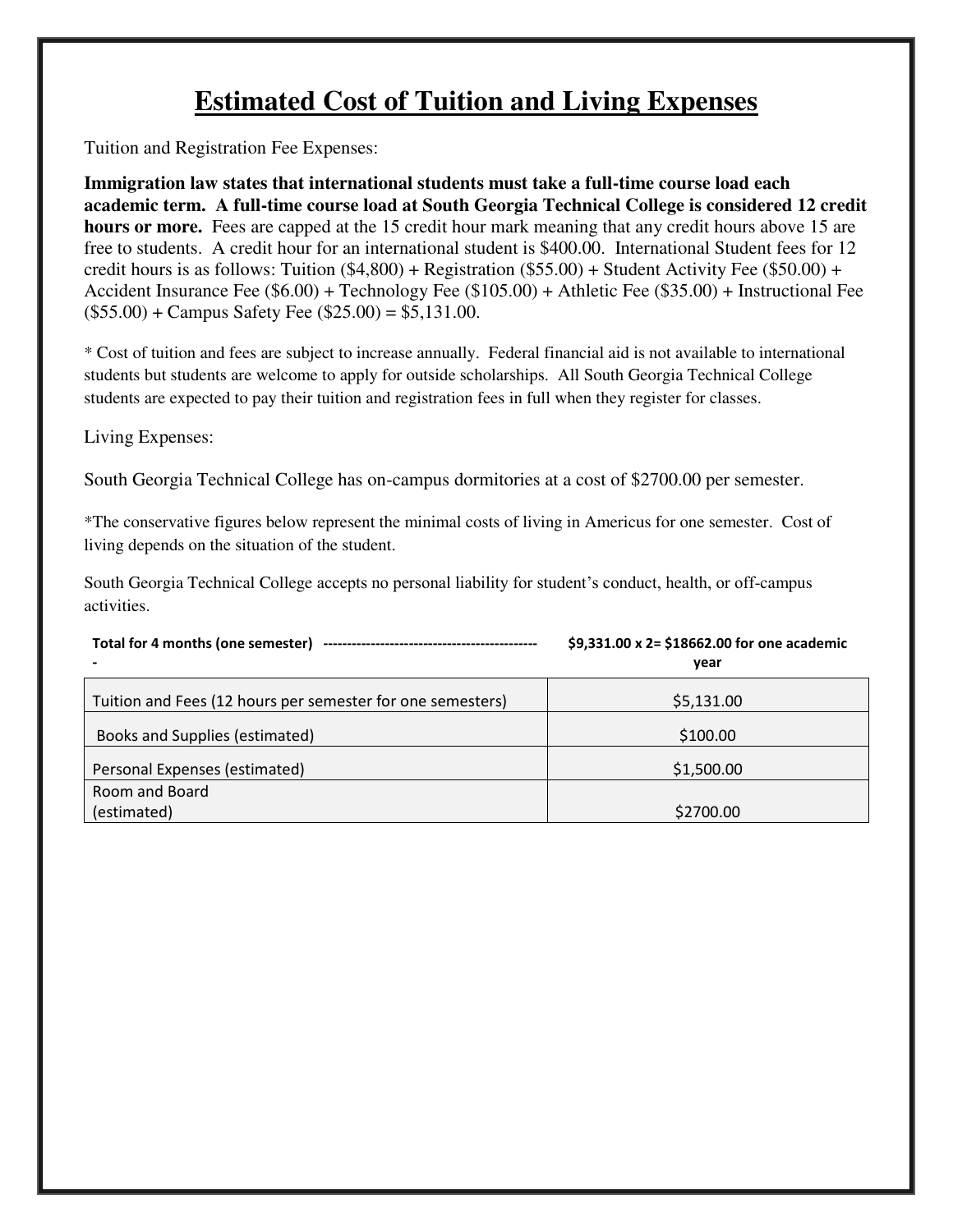### **Estimated Cost of Tuition and Living Expenses**

Tuition and Registration Fee Expenses:

**Immigration law states that international students must take a full-time course load each academic term. A full-time course load at South Georgia Technical College is considered 12 credit hours or more.** Fees are capped at the 15 credit hour mark meaning that any credit hours above 15 are free to students. A credit hour for an international student is \$400.00. International Student fees for 12 credit hours is as follows: Tuition (\$4,800) + Registration (\$55.00) + Student Activity Fee (\$50.00) + Accident Insurance Fee (\$6.00) + Technology Fee (\$105.00) + Athletic Fee (\$35.00) + Instructional Fee  $($55.00) + Campus$  Safety Fee  $($25.00) = $5,131.00$ .

\* Cost of tuition and fees are subject to increase annually. Federal financial aid is not available to international students but students are welcome to apply for outside scholarships. All South Georgia Technical College students are expected to pay their tuition and registration fees in full when they register for classes.

Living Expenses:

South Georgia Technical College has on-campus dormitories at a cost of \$2700.00 per semester.

\*The conservative figures below represent the minimal costs of living in Americus for one semester. Cost of living depends on the situation of the student.

South Georgia Technical College accepts no personal liability for student's conduct, health, or off-campus activities.

|  | \$9,331.00 x 2= \$18662.00 for one academic |
|--|---------------------------------------------|
|  | vear                                        |

| Tuition and Fees (12 hours per semester for one semesters) | \$5,131.00 |
|------------------------------------------------------------|------------|
| Books and Supplies (estimated)                             | \$100.00   |
| Personal Expenses (estimated)                              | \$1,500.00 |
| Room and Board                                             |            |
| (estimated)                                                | \$2700.00  |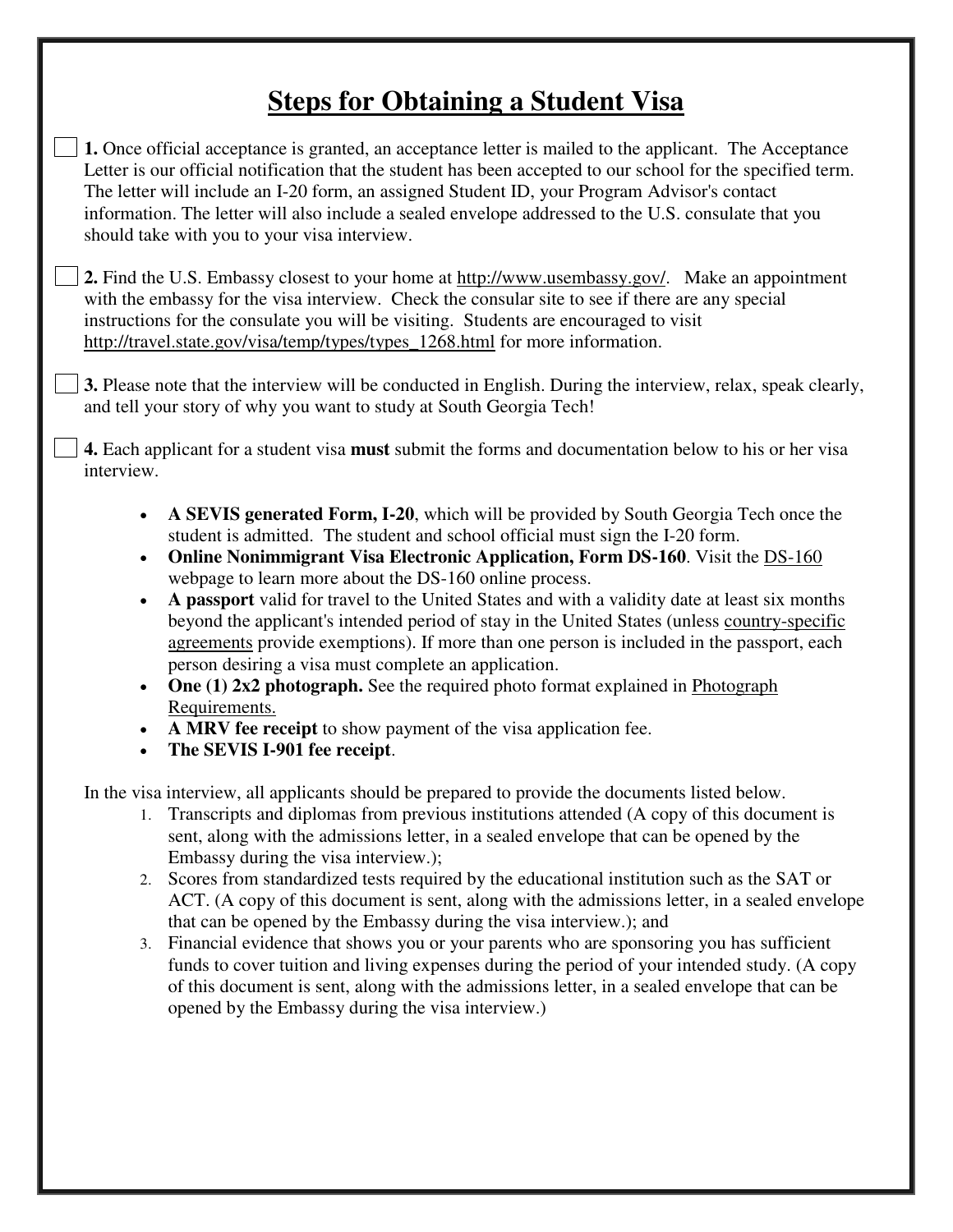## **Steps for Obtaining a Student Visa**

**1.** Once official acceptance is granted, an acceptance letter is mailed to the applicant. The Acceptance Letter is our official notification that the student has been accepted to our school for the specified term. The letter will include an I-20 form, an assigned Student ID, your Program Advisor's contact information. The letter will also include a sealed envelope addressed to the U.S. consulate that you should take with you to your visa interview.

**2.** Find the U.S. Embassy closest to your home at http://www.usembassy.gov/. Make an appointment with the embassy for the visa interview. Check the consular site to see if there are any special instructions for the consulate you will be visiting. Students are encouraged to visit [http://travel.state.gov/visa/temp/types/types\\_1268.html](http://travel.state.gov/visa/temp/types/types_1268.html) for more information.

**3.** Please note that the interview will be conducted in English. During the interview, relax, speak clearly, and tell your story of why you want to study at South Georgia Tech!

**4.** Each applicant for a student visa **must** submit the forms and documentation below to his or her visa interview.

- **A SEVIS generated Form, I-20**, which will be provided by South Georgia Tech once the student is admitted. The student and school official must sign the I-20 form.
- **Online Nonimmigrant Visa Electronic Application, Form DS-160**. Visit the [DS-160](http://travel.state.gov/visa/forms/forms_4230.html)  [webpage](http://travel.state.gov/visa/forms/forms_4230.html) to learn more about the DS-160 online process.
- **A passport** valid for travel to the United States and with a validity date at least six months beyond the applicant's intended period of stay in the United States (unless [country-specific](http://www.state.gov/documents/organization/104770.pdf)  [agreements](http://www.state.gov/documents/organization/104770.pdf) provide exemptions). If more than one person is included in the passport, each person desiring a visa must complete an application.
- **One (1) 2x2 photograph.** See the required photo format explained in Photograph [Requirements.](http://travel.state.gov/visa/visaphotoreq/visaphotoreq_5334.html)
- **A MRV fee receipt** to show payment of the visa application fee.
- **The SEVIS I-901 fee receipt**.

In the visa interview, all applicants should be prepared to provide the documents listed below.

- 1. Transcripts and diplomas from previous institutions attended (A copy of this document is sent, along with the admissions letter, in a sealed envelope that can be opened by the Embassy during the visa interview.);
- 2. Scores from standardized tests required by the educational institution such as the SAT or ACT. (A copy of this document is sent, along with the admissions letter, in a sealed envelope that can be opened by the Embassy during the visa interview.); and
- 3. Financial evidence that shows you or your parents who are sponsoring you has sufficient funds to cover tuition and living expenses during the period of your intended study. (A copy of this document is sent, along with the admissions letter, in a sealed envelope that can be opened by the Embassy during the visa interview.)